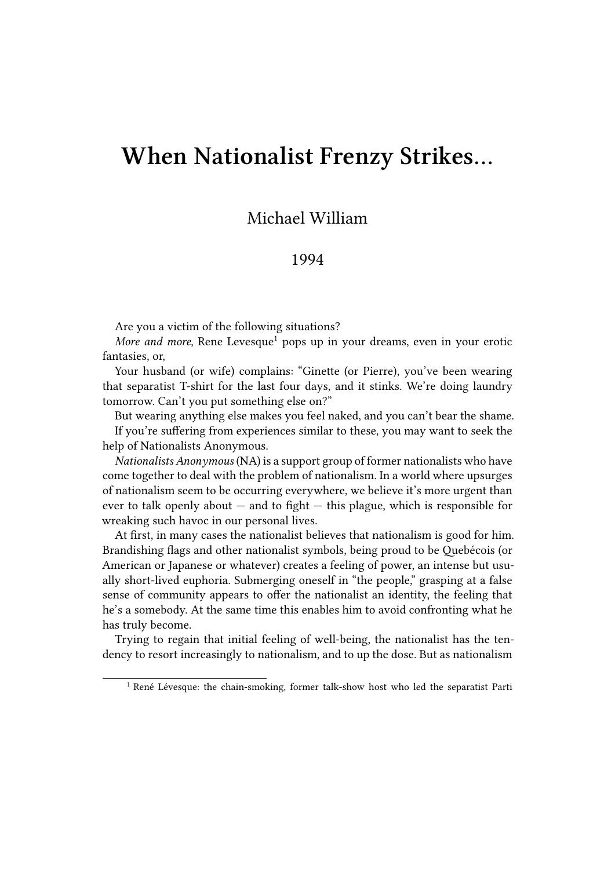## **When Nationalist Frenzy Strikes…**

## Michael William

## 1994

Are you a victim of the following situations?

*More and more*, Rene Levesque<sup>1</sup> pops up in your dreams, even in your erotic fantasies, or,

Your husband (or wife) complains: "Ginette (or Pierre), you've been wearing that separatist T-shirt for the last four days, and it stinks. We're doing laundry tomorrow. Can't you put something else on?"

But wearing anything else makes you feel naked, and you can't bear the shame. If you're suffering from experiences similar to these, you may want to seek the help of Nationalists Anonymous.

*Nationalists Anonymous* (NA) is a support group of former nationalists who have come together to deal with the problem of nationalism. In a world where upsurges of nationalism seem to be occurring everywhere, we believe it's more urgent than ever to talk openly about  $-$  and to fight  $-$  this plague, which is responsible for wreaking such havoc in our personal lives.

At first, in many cases the nationalist believes that nationalism is good for him. Brandishing flags and other nationalist symbols, being proud to be Quebécois (or American or Japanese or whatever) creates a feeling of power, an intense but usually short-lived euphoria. Submerging oneself in "the people," grasping at a false sense of community appears to offer the nationalist an identity, the feeling that he's a somebody. At the same time this enables him to avoid confronting what he has truly become.

Trying to regain that initial feeling of well-being, the nationalist has the tendency to resort increasingly to nationalism, and to up the dose. But as nationalism

<sup>&</sup>lt;sup>1</sup> René Lévesque: the chain-smoking, former talk-show host who led the separatist Parti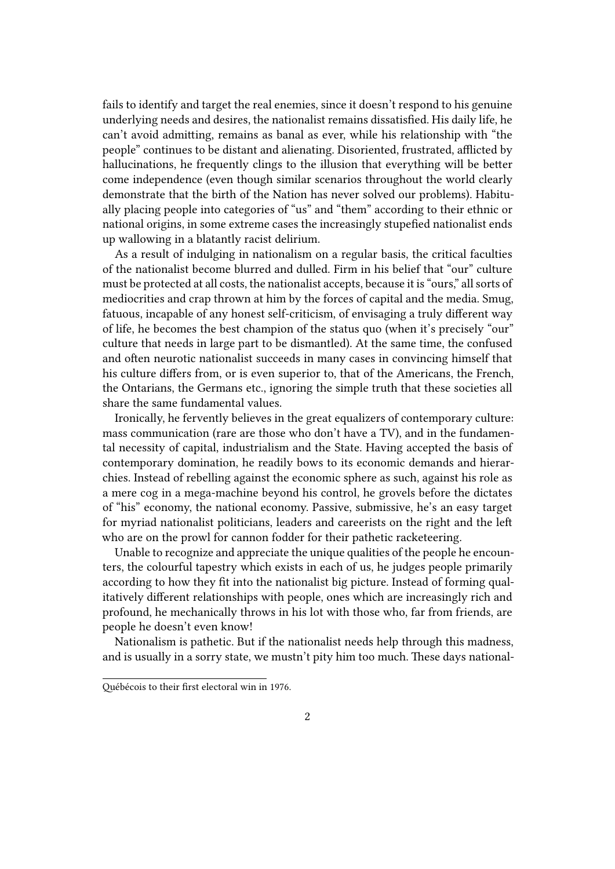fails to identify and target the real enemies, since it doesn't respond to his genuine underlying needs and desires, the nationalist remains dissatisfied. His daily life, he can't avoid admitting, remains as banal as ever, while his relationship with "the people" continues to be distant and alienating. Disoriented, frustrated, afflicted by hallucinations, he frequently clings to the illusion that everything will be better come independence (even though similar scenarios throughout the world clearly demonstrate that the birth of the Nation has never solved our problems). Habitually placing people into categories of "us" and "them" according to their ethnic or national origins, in some extreme cases the increasingly stupefied nationalist ends up wallowing in a blatantly racist delirium.

As a result of indulging in nationalism on a regular basis, the critical faculties of the nationalist become blurred and dulled. Firm in his belief that "our" culture must be protected at all costs, the nationalist accepts, because it is "ours," all sorts of mediocrities and crap thrown at him by the forces of capital and the media. Smug, fatuous, incapable of any honest self-criticism, of envisaging a truly different way of life, he becomes the best champion of the status quo (when it's precisely "our" culture that needs in large part to be dismantled). At the same time, the confused and often neurotic nationalist succeeds in many cases in convincing himself that his culture differs from, or is even superior to, that of the Americans, the French, the Ontarians, the Germans etc., ignoring the simple truth that these societies all share the same fundamental values.

Ironically, he fervently believes in the great equalizers of contemporary culture: mass communication (rare are those who don't have a TV), and in the fundamental necessity of capital, industrialism and the State. Having accepted the basis of contemporary domination, he readily bows to its economic demands and hierarchies. Instead of rebelling against the economic sphere as such, against his role as a mere cog in a mega-machine beyond his control, he grovels before the dictates of "his" economy, the national economy. Passive, submissive, he's an easy target for myriad nationalist politicians, leaders and careerists on the right and the left who are on the prowl for cannon fodder for their pathetic racketeering.

Unable to recognize and appreciate the unique qualities of the people he encounters, the colourful tapestry which exists in each of us, he judges people primarily according to how they fit into the nationalist big picture. Instead of forming qualitatively different relationships with people, ones which are increasingly rich and profound, he mechanically throws in his lot with those who, far from friends, are people he doesn't even know!

Nationalism is pathetic. But if the nationalist needs help through this madness, and is usually in a sorry state, we mustn't pity him too much. These days national-

Québécois to their first electoral win in 1976.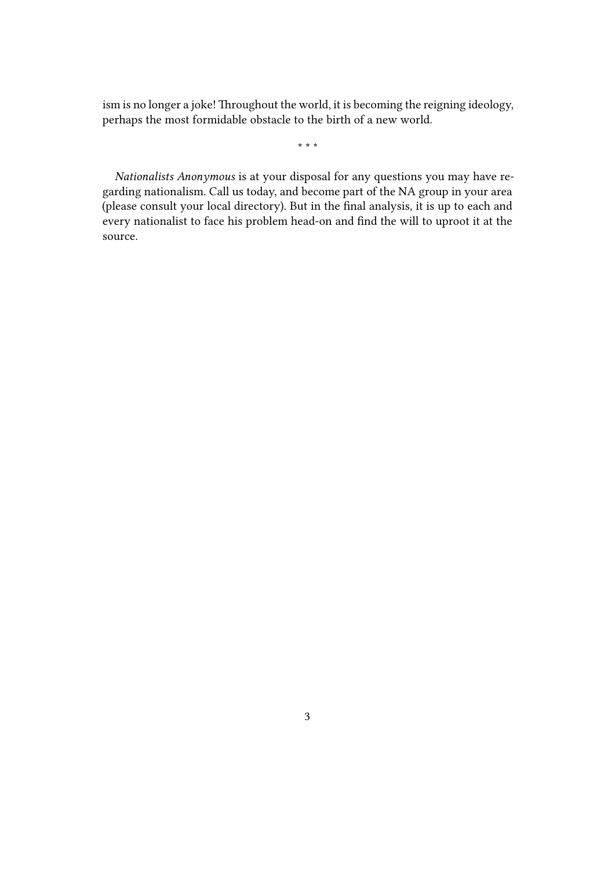ism is no longer a joke! Throughout the world, it is becoming the reigning ideology, perhaps the most formidable obstacle to the birth of a new world.

\* \* \*

*Nationalists Anonymous* is at your disposal for any questions you may have regarding nationalism. Call us today, and become part of the NA group in your area (please consult your local directory). But in the final analysis, it is up to each and every nationalist to face his problem head-on and find the will to uproot it at the source.